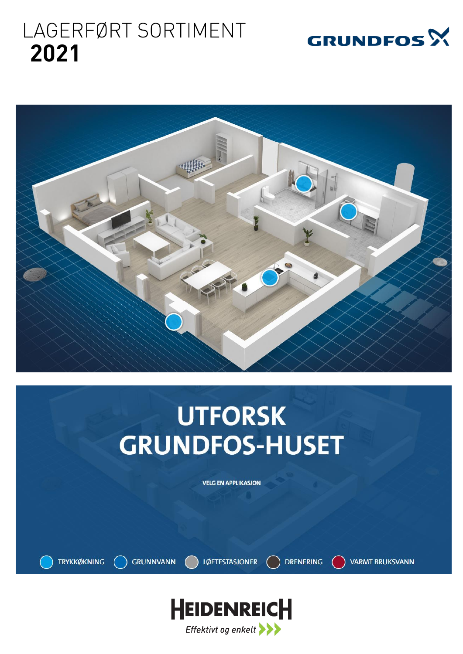# LAGERFØRT SORTIMENT 2021





# **UTFORSK GRUNDFOS-HUSET**

**VELG EN APPLIKASJON** 

**TRYKKØKNING GRUNNVANN**  **LØFTESTASJONER** 

**DRENERING** 

**VARMT BRUKSVANN** 

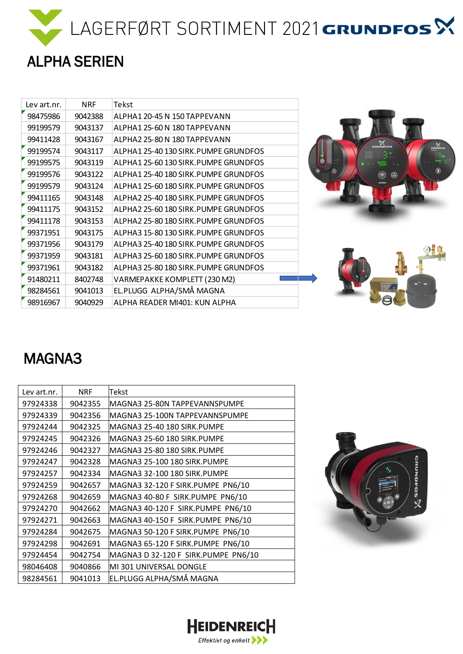



| Lev art.nr. | <b>NRF</b> | Tekst                                 |                                   |
|-------------|------------|---------------------------------------|-----------------------------------|
| 98475986    | 9042388    | ALPHA1 20-45 N 150 TAPPEVANN          |                                   |
| 99199579    | 9043137    | ALPHA1 25-60 N 180 TAPPEVANN          |                                   |
| 99411428    | 9043167    | ALPHA2 25-80 N 180 TAPPEVANN          | $\sum_{\text{cm} \text{vectors}}$ |
| 99199574    | 9043117    | ALPHA1 25-40 130 SIRK. PUMPE GRUNDFOS | $\frac{\aleph}{\triangle}$        |
| 99199575    | 9043119    | ALPHA1 25-60 130 SIRK. PUMPE GRUNDFOS | $\ddot{\circ}$                    |
| 99199576    | 9043122    | ALPHA1 25-40 180 SIRK. PUMPE GRUNDFOS | Ð<br>೯<br>$\circledcirc$          |
| 99199579    | 9043124    | ALPHA1 25-60 180 SIRK. PUMPE GRUNDFOS |                                   |
| 99411165    | 9043148    | ALPHA2 25-40 180 SIRK.PUMPE GRUNDFOS  |                                   |
| 99411175    | 9043152    | ALPHA2 25-60 180 SIRK.PUMPE GRUNDFOS  |                                   |
| 99411178    | 9043153    | ALPHA2 25-80 180 SIRK. PUMPE GRUNDFOS |                                   |
| 99371951    | 9043175    | ALPHA3 15-80 130 SIRK. PUMPE GRUNDFOS |                                   |
| 99371956    | 9043179    | ALPHA3 25-40 180 SIRK. PUMPE GRUNDFOS |                                   |
| 99371959    | 9043181    | ALPHA3 25-60 180 SIRK. PUMPE GRUNDFOS |                                   |
| 99371961    | 9043182    | ALPHA3 25-80 180 SIRK. PUMPE GRUNDFOS |                                   |
| 91480211    | 8402748    | VARMEPAKKE KOMPLETT (230 M2)          |                                   |
| 98284561    | 9041013    | EL.PLUGG ALPHA/SMÅ MAGNA              |                                   |
| 98916967    | 9040929    | ALPHA READER MI401: KUN ALPHA         |                                   |

#### MAGNA3

| Lev art.nr. | <b>NRF</b> | Tekst                               |
|-------------|------------|-------------------------------------|
| 97924338    | 9042355    | IMAGNA3 25-80N TAPPEVANNSPUMPE      |
| 97924339    | 9042356    | MAGNA3 25-100N TAPPEVANNSPUMPE      |
| 97924244    | 9042325    | MAGNA3 25-40 180 SIRK.PUMPE         |
| 97924245    | 9042326    | lMAGNA3 25-60 180 SIRK.PUMPE        |
| 97924246    | 9042327    | MAGNA3 25-80 180 SIRK.PUMPE         |
| 97924247    | 9042328    | MAGNA3 25-100 180 SIRK.PUMPE        |
| 97924257    | 9042334    | lMAGNA3 32-100 180 SIRK.PUMPE       |
| 97924259    | 9042657    | MAGNA3 32-120 F SIRK.PUMPE PN6/10   |
| 97924268    | 9042659    | MAGNA3 40-80 F SIRK.PUMPE PN6/10    |
| 97924270    | 9042662    | MAGNA3 40-120 F SIRK.PUMPE PN6/10   |
| 97924271    | 9042663    | MAGNA3 40-150 F SIRK.PUMPE PN6/10   |
| 97924284    | 9042675    | MAGNA3 50-120 F SIRK.PUMPE PN6/10   |
| 97924298    | 9042691    | MAGNA3 65-120 F SIRK.PUMPE PN6/10   |
| 97924454    | 9042754    | MAGNA3 D 32-120 F SIRK.PUMPE PN6/10 |
| 98046408    | 9040866    | MI 301 UNIVERSAL DONGLE             |
| 98284561    | 9041013    | EL.PLUGG ALPHA/SMÅ MAGNA            |



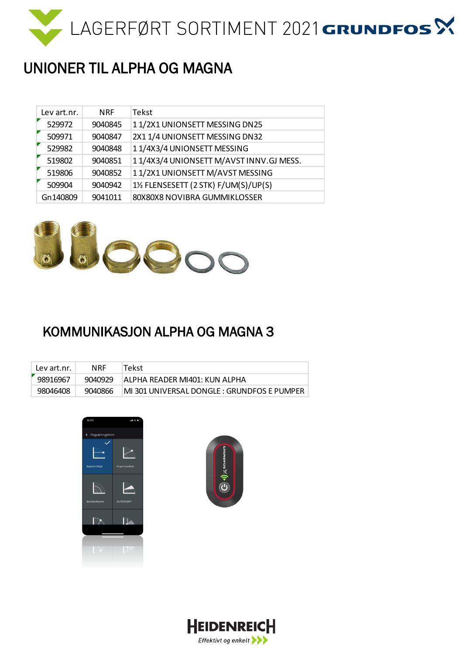

## UNIONER TIL ALPHA OG MAGNA

| Lev art.nr. | <b>NRF</b> | Tekst                                   |
|-------------|------------|-----------------------------------------|
| 529972      | 9040845    | 11/2X1 UNIONSETT MESSING DN25           |
| 509971      | 9040847    | 2X1 1/4 UNIONSETT MESSING DN32          |
| 529982      | 9040848    | 11/4X3/4 UNIONSETT MESSING              |
| 519802      | 9040851    | 11/4X3/4 UNIONSETT M/AVST INNV.GJ MESS. |
| 519806      | 9040852    | 11/2X1 UNIONSETT M/AVST MESSING         |
| 509904      | 9040942    | 1½ FLENSESETT (2 STK) F/UM(S)/UP(S)     |
| Gn140809    | 9041011    | 80X80X8 NOVIBRA GUMMIKLOSSER            |



#### KOMMUNIKASJON ALPHA OG MAGNA 3

| Lev art.nr. | <b>NRF</b> | 'Tekst                                      |
|-------------|------------|---------------------------------------------|
| 98916967    | 9040929    | ALPHA READER MI401: KUN ALPHA               |
| 98046408    | 9040866    | MI 301 UNIVERSAL DONGLE : GRUNDFOS E PUMPER |





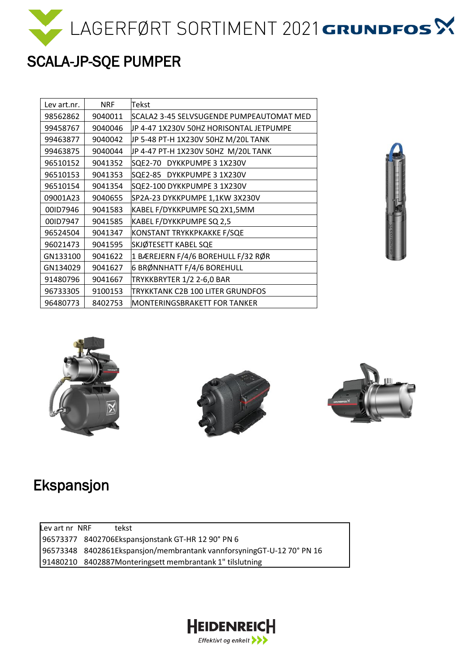

# SCALA-JP-SQE PUMPER

| Lev art.nr. | <b>NRF</b> | Tekst                                    |
|-------------|------------|------------------------------------------|
| 98562862    | 9040011    | SCALA2 3-45 SELVSUGENDE PUMPEAUTOMAT MED |
| 99458767    | 9040046    | JP 4-47 1X230V 50HZ HORISONTAL JETPUMPE  |
| 99463877    | 9040042    | JP 5-48 PT-H 1X230V 50HZ M/20L TANK      |
| 99463875    | 9040044    | JP 4-47 PT-H 1X230V 50HZ M/20L TANK      |
| 96510152    | 9041352    | SQE2-70<br>DYKKPUMPE 3 1X230V            |
| 96510153    | 9041353    | SQE2-85 DYKKPUMPE 3 1X230V               |
| 96510154    | 9041354    | SQE2-100 DYKKPUMPE 3 1X230V              |
| 09001A23    | 9040655    | SP2A-23 DYKKPUMPE 1,1KW 3X230V           |
| 00ID7946    | 9041583    | KABEL F/DYKKPUMPE SQ 2X1,5MM             |
| 00ID7947    | 9041585    | KABEL F/DYKKPUMPE SQ 2,5                 |
| 96524504    | 9041347    | KONSTANT TRYKKPKAKKE F/SQE               |
| 96021473    | 9041595    | SKJØTESETT KABEL SQE                     |
| GN133100    | 9041622    | 1 BÆREJERN F/4/6 BOREHULL F/32 RØR       |
| GN134029    | 9041627    | 6 BRØNNHATT F/4/6 BOREHULL               |
| 91480796    | 9041667    | TRYKKBRYTER 1/2 2-6,0 BAR                |
| 96733305    | 9100153    | TRYKKTANK C2B 100 LITER GRUNDFOS         |
| 96480773    | 8402753    | MONTERINGSBRAKETT FOR TANKER             |









#### Ekspansjon

Lev art nr NRF tekst 8402706Ekspansjonstank GT-HR 12 90° PN 6 8402861Ekspansjon/membrantank vannforsyningGT-U-12 70° PN 16 8402887Monteringsett membrantank 1" tilslutning